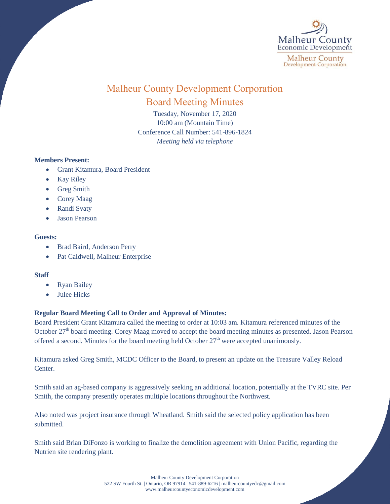

# Malheur County Development Corporation Board Meeting Minutes

Tuesday, November 17, 2020 10:00 am (Mountain Time) Conference Call Number: 541-896-1824 *Meeting held via telephone*

## **Members Present:**

- Grant Kitamura, Board President
- Kay Riley
- Greg Smith
- Corey Maag
- Randi Svaty
- Jason Pearson

#### **Guests:**

- Brad Baird, Anderson Perry
- Pat Caldwell, Malheur Enterprise

## **Staff**

- Ryan Bailey
- Julee Hicks

## **Regular Board Meeting Call to Order and Approval of Minutes:**

Board President Grant Kitamura called the meeting to order at 10:03 am. Kitamura referenced minutes of the October 27<sup>th</sup> board meeting. Corey Maag moved to accept the board meeting minutes as presented. Jason Pearson offered a second. Minutes for the board meeting held October  $27<sup>th</sup>$  were accepted unanimously.

Kitamura asked Greg Smith, MCDC Officer to the Board, to present an update on the Treasure Valley Reload Center.

Smith said an ag-based company is aggressively seeking an additional location, potentially at the TVRC site. Per Smith, the company presently operates multiple locations throughout the Northwest.

Also noted was project insurance through Wheatland. Smith said the selected policy application has been submitted.

Smith said Brian DiFonzo is working to finalize the demolition agreement with Union Pacific, regarding the Nutrien site rendering plant.

> Malheur County Development Corporation 522 SW Fourth St. | Ontario, OR 97914 | 541-889-6216 [| malheurcountyedc@gmail.com](mailto:malheurcountyedc@gmail.com) [www.malheurcountyeconomicdevelopment.com](http://www.malheurcountyeconomicdevelopment.com/)